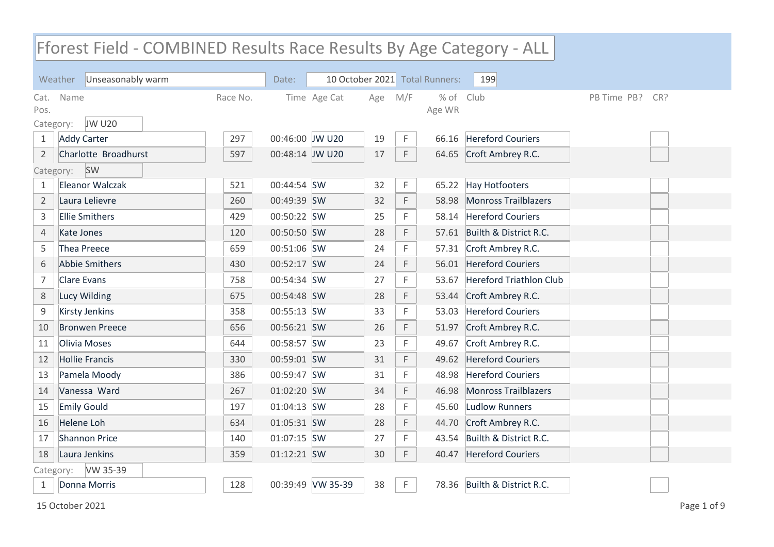## Fforest Field - COMBINED Results Race Results By Age Category - ALL

|                           | Unseasonably warm<br>Weather |          | Date:           |                   |     |     | 10 October 2021 Total Runners: | 199                            |             |     |
|---------------------------|------------------------------|----------|-----------------|-------------------|-----|-----|--------------------------------|--------------------------------|-------------|-----|
| Cat.<br>Pos.<br>Category: | Name<br><b>JW U20</b>        | Race No. |                 | Time Age Cat      | Age | M/F | $%$ of<br>Age WR               | Club                           | PB Time PB? | CR? |
| $\mathbf{1}$              | <b>Addy Carter</b>           | 297      | 00:46:00 JW U20 |                   | 19  | F.  | 66.16                          | <b>Hereford Couriers</b>       |             |     |
| $\overline{2}$            | Charlotte Broadhurst         | 597      | 00:48:14 JW U20 |                   | 17  | F.  |                                | 64.65 Croft Ambrey R.C.        |             |     |
| Category:                 | SW                           |          |                 |                   |     |     |                                |                                |             |     |
| $\mathbf{1}$              | Eleanor Walczak              | 521      | 00:44:54 SW     |                   | 32  | F.  | 65.22                          | <b>Hay Hotfooters</b>          |             |     |
| $\overline{2}$            | Laura Lelievre               | 260      | 00:49:39 SW     |                   | 32  | F   | 58.98                          | <b>Monross Trailblazers</b>    |             |     |
| 3                         | <b>Ellie Smithers</b>        | 429      | 00:50:22 SW     |                   | 25  | F   | 58.14                          | <b>Hereford Couriers</b>       |             |     |
| 4                         | <b>Kate Jones</b>            | 120      | 00:50:50 SW     |                   | 28  | F   | 57.61                          | Builth & District R.C.         |             |     |
| 5                         | <b>Thea Preece</b>           | 659      | 00:51:06 SW     |                   | 24  | F   | 57.31                          | Croft Ambrey R.C.              |             |     |
| 6                         | Abbie Smithers               | 430      | 00:52:17 SW     |                   | 24  | F   | 56.01                          | <b>Hereford Couriers</b>       |             |     |
| 7                         | <b>Clare Evans</b>           | 758      | 00:54:34 SW     |                   | 27  | F   | 53.67                          | <b>Hereford Triathlon Club</b> |             |     |
| 8                         | Lucy Wilding                 | 675      | 00:54:48 SW     |                   | 28  | F   | 53.44                          | Croft Ambrey R.C.              |             |     |
| 9                         | <b>Kirsty Jenkins</b>        | 358      | 00:55:13 SW     |                   | 33  | F   | 53.03                          | <b>Hereford Couriers</b>       |             |     |
| 10                        | <b>Bronwen Preece</b>        | 656      | 00:56:21 SW     |                   | 26  | F   | 51.97                          | Croft Ambrey R.C.              |             |     |
| 11                        | <b>Olivia Moses</b>          | 644      | 00:58:57 SW     |                   | 23  | F   | 49.67                          | Croft Ambrey R.C.              |             |     |
| 12                        | <b>Hollie Francis</b>        | 330      | 00:59:01 SW     |                   | 31  | F   | 49.62                          | <b>Hereford Couriers</b>       |             |     |
| 13                        | Pamela Moody                 | 386      | 00:59:47 SW     |                   | 31  | F   | 48.98                          | <b>Hereford Couriers</b>       |             |     |
| 14                        | Vanessa Ward                 | 267      | 01:02:20 SW     |                   | 34  | F   | 46.98                          | <b>Monross Trailblazers</b>    |             |     |
| 15                        | <b>Emily Gould</b>           | 197      | 01:04:13 SW     |                   | 28  | F   | 45.60                          | <b>Ludlow Runners</b>          |             |     |
| 16                        | <b>Helene Loh</b>            | 634      | 01:05:31 SW     |                   | 28  | F   | 44.70                          | Croft Ambrey R.C.              |             |     |
| 17                        | <b>Shannon Price</b>         | 140      | 01:07:15 SW     |                   | 27  | F   | 43.54                          | Builth & District R.C.         |             |     |
| 18                        | Laura Jenkins                | 359      | 01:12:21 SW     |                   | 30  | F.  | 40.47                          | <b>Hereford Couriers</b>       |             |     |
| Category:                 | VW 35-39                     |          |                 |                   |     |     |                                |                                |             |     |
| 1                         | Donna Morris                 | 128      |                 | 00:39:49 VW 35-39 | 38  | F.  |                                | 78.36 Builth & District R.C.   |             |     |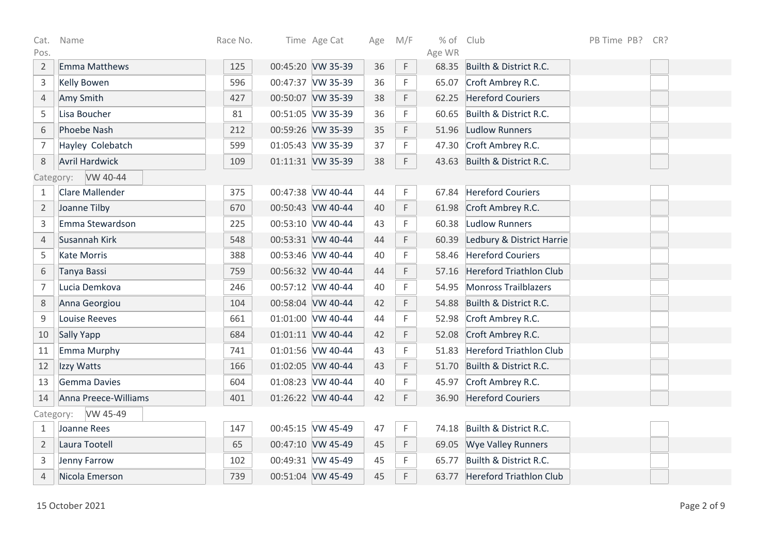| Cat.           | Name                   | Race No. | Time Age Cat      | Age | M/F | % of Club |                                | PB Time PB? | CR? |
|----------------|------------------------|----------|-------------------|-----|-----|-----------|--------------------------------|-------------|-----|
| Pos.           |                        |          |                   |     |     | Age WR    |                                |             |     |
| $\overline{2}$ | Emma Matthews          | 125      | 00:45:20 VW 35-39 | 36  | F   |           | 68.35 Builth & District R.C.   |             |     |
| $\mathsf 3$    | <b>Kelly Bowen</b>     | 596      | 00:47:37 VW 35-39 | 36  | F   | 65.07     | Croft Ambrey R.C.              |             |     |
| $\sqrt{4}$     | Amy Smith              | 427      | 00:50:07 VW 35-39 | 38  | F   | 62.25     | <b>Hereford Couriers</b>       |             |     |
| 5              | Lisa Boucher           | 81       | 00:51:05 VW 35-39 | 36  | F   | 60.65     | Builth & District R.C.         |             |     |
| 6              | Phoebe Nash            | 212      | 00:59:26 VW 35-39 | 35  | F   | 51.96     | <b>Ludlow Runners</b>          |             |     |
| $\overline{7}$ | Hayley Colebatch       | 599      | 01:05:43 VW 35-39 | 37  | F.  | 47.30     | Croft Ambrey R.C.              |             |     |
| 8              | <b>Avril Hardwick</b>  | 109      | 01:11:31 VW 35-39 | 38  | F.  |           | 43.63 Builth & District R.C.   |             |     |
|                | VW 40-44<br>Category:  |          |                   |     |     |           |                                |             |     |
| 1              | <b>Clare Mallender</b> | 375      | 00:47:38 VW 40-44 | 44  | F   | 67.84     | <b>Hereford Couriers</b>       |             |     |
| $\overline{2}$ | Joanne Tilby           | 670      | 00:50:43 VW 40-44 | 40  | F   |           | 61.98 Croft Ambrey R.C.        |             |     |
| $\overline{3}$ | Emma Stewardson        | 225      | 00:53:10 VW 40-44 | 43  | F   | 60.38     | Ludlow Runners                 |             |     |
| $\overline{4}$ | Susannah Kirk          | 548      | 00:53:31 VW 40-44 | 44  | F   | 60.39     | Ledbury & District Harrie      |             |     |
| 5              | <b>Kate Morris</b>     | 388      | 00:53:46 VW 40-44 | 40  | F   | 58.46     | <b>Hereford Couriers</b>       |             |     |
| 6              | Tanya Bassi            | 759      | 00:56:32 VW 40-44 | 44  | F   | 57.16     | <b>Hereford Triathlon Club</b> |             |     |
| $\overline{7}$ | Lucia Demkova          | 246      | 00:57:12 VW 40-44 | 40  | F   | 54.95     | Monross Trailblazers           |             |     |
| 8              | Anna Georgiou          | 104      | 00:58:04 VW 40-44 | 42  | F   | 54.88     | Builth & District R.C.         |             |     |
| $\mathsf 9$    | <b>Louise Reeves</b>   | 661      | 01:01:00 VW 40-44 | 44  | F   |           | 52.98 Croft Ambrey R.C.        |             |     |
| 10             | Sally Yapp             | 684      | 01:01:11 VW 40-44 | 42  | F   | 52.08     | Croft Ambrey R.C.              |             |     |
| 11             | Emma Murphy            | 741      | 01:01:56 VW 40-44 | 43  | F   | 51.83     | <b>Hereford Triathlon Club</b> |             |     |
| 12             | Izzy Watts             | 166      | 01:02:05 VW 40-44 | 43  | F   | 51.70     | Builth & District R.C.         |             |     |
| 13             | Gemma Davies           | 604      | 01:08:23 VW 40-44 | 40  | F   | 45.97     | Croft Ambrey R.C.              |             |     |
| 14             | Anna Preece-Williams   | 401      | 01:26:22 VW 40-44 | 42  | F   | 36.90     | <b>Hereford Couriers</b>       |             |     |
|                | VW 45-49<br>Category:  |          |                   |     |     |           |                                |             |     |
| 1              | Joanne Rees            | 147      | 00:45:15 VW 45-49 | 47  | F   | 74.18     | Builth & District R.C.         |             |     |
| $\overline{2}$ | Laura Tootell          | 65       | 00:47:10 VW 45-49 | 45  | F   | 69.05     | <b>Wye Valley Runners</b>      |             |     |
| 3              | Jenny Farrow           | 102      | 00:49:31 VW 45-49 | 45  | F   | 65.77     | Builth & District R.C.         |             |     |
| $\overline{4}$ | Nicola Emerson         | 739      | 00:51:04 VW 45-49 | 45  | F   | 63.77     | <b>Hereford Triathlon Club</b> |             |     |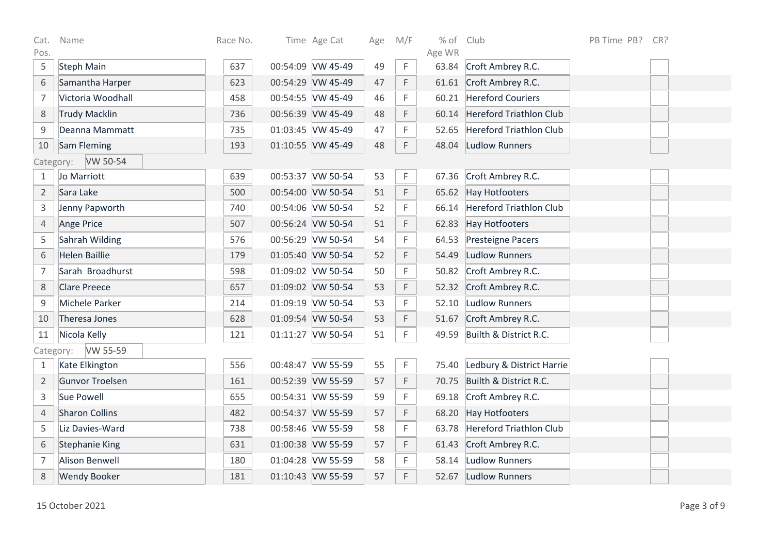| Cat.           | Name                   | Race No. | Time Age Cat      | Age | M/F         | $%$ of          | Club                            | PB Time PB? | CR? |
|----------------|------------------------|----------|-------------------|-----|-------------|-----------------|---------------------------------|-------------|-----|
| Pos.<br>5      | <b>Steph Main</b>      | 637      | 00:54:09 VW 45-49 | 49  | $\mathsf F$ | Age WR<br>63.84 | Croft Ambrey R.C.               |             |     |
| 6              | Samantha Harper        | 623      | 00:54:29 VW 45-49 | 47  | F           |                 | 61.61 Croft Ambrey R.C.         |             |     |
| $\overline{7}$ | Victoria Woodhall      | 458      | 00:54:55 VW 45-49 | 46  | F           |                 | 60.21 Hereford Couriers         |             |     |
| 8              | <b>Trudy Macklin</b>   | 736      | 00:56:39 VW 45-49 | 48  | F           | 60.14           | Hereford Triathlon Club         |             |     |
| $\mathsf 9$    | Deanna Mammatt         | 735      | 01:03:45 VW 45-49 | 47  | F           | 52.65           | Hereford Triathlon Club         |             |     |
| 10             | Sam Fleming            | 193      | 01:10:55 VW 45-49 | 48  | F.          | 48.04           | Ludlow Runners                  |             |     |
|                | VW 50-54<br>Category:  |          |                   |     |             |                 |                                 |             |     |
| 1              | Jo Marriott            | 639      | 00:53:37 VW 50-54 | 53  | F.          | 67.36           | Croft Ambrey R.C.               |             |     |
| $\overline{2}$ | Sara Lake              | 500      | 00:54:00 VW 50-54 | 51  | F           |                 | 65.62 Hay Hotfooters            |             |     |
| 3              | Jenny Papworth         | 740      | 00:54:06 VW 50-54 | 52  | F           |                 | 66.14 Hereford Triathlon Club   |             |     |
| $\overline{4}$ | <b>Ange Price</b>      | 507      | 00:56:24 VW 50-54 | 51  | F           | 62.83           | Hay Hotfooters                  |             |     |
| 5              | Sahrah Wilding         | 576      | 00:56:29 VW 50-54 | 54  | F           | 64.53           | <b>Presteigne Pacers</b>        |             |     |
| 6              | <b>Helen Baillie</b>   | 179      | 01:05:40 VW 50-54 | 52  | F           | 54.49           | Ludlow Runners                  |             |     |
| $\overline{7}$ | Sarah Broadhurst       | 598      | 01:09:02 VW 50-54 | 50  | F           |                 | 50.82 Croft Ambrey R.C.         |             |     |
| $8\,$          | <b>Clare Preece</b>    | 657      | 01:09:02 VW 50-54 | 53  | F           |                 | 52.32 Croft Ambrey R.C.         |             |     |
| 9              | Michele Parker         | 214      | 01:09:19 VW 50-54 | 53  | F.          |                 | 52.10 Ludlow Runners            |             |     |
| 10             | Theresa Jones          | 628      | 01:09:54 VW 50-54 | 53  | F           |                 | 51.67 Croft Ambrey R.C.         |             |     |
| 11             | Nicola Kelly           | 121      | 01:11:27 VW 50-54 | 51  | F.          |                 | 49.59 Builth & District R.C.    |             |     |
| Category:      | VW 55-59               |          |                   |     |             |                 |                                 |             |     |
| $\mathbf{1}$   | Kate Elkington         | 556      | 00:48:47 VW 55-59 | 55  | $\mathsf F$ |                 | 75.40 Ledbury & District Harrie |             |     |
| $\overline{2}$ | <b>Gunvor Troelsen</b> | 161      | 00:52:39 VW 55-59 | 57  | F           | 70.75           | Builth & District R.C.          |             |     |
| 3              | Sue Powell             | 655      | 00:54:31 VW 55-59 | 59  | F           | 69.18           | Croft Ambrey R.C.               |             |     |
| 4              | <b>Sharon Collins</b>  | 482      | 00:54:37 VW 55-59 | 57  | F           |                 | 68.20 Hay Hotfooters            |             |     |
| 5              | Liz Davies-Ward        | 738      | 00:58:46 VW 55-59 | 58  | F           | 63.78           | Hereford Triathlon Club         |             |     |
| 6              | <b>Stephanie King</b>  | 631      | 01:00:38 VW 55-59 | 57  | F           | 61.43           | Croft Ambrey R.C.               |             |     |
| $\overline{7}$ | <b>Alison Benwell</b>  | 180      | 01:04:28 VW 55-59 | 58  | F.          |                 | 58.14 Ludlow Runners            |             |     |
| 8              | <b>Wendy Booker</b>    | 181      | 01:10:43 VW 55-59 | 57  | F           |                 | 52.67 Ludlow Runners            |             |     |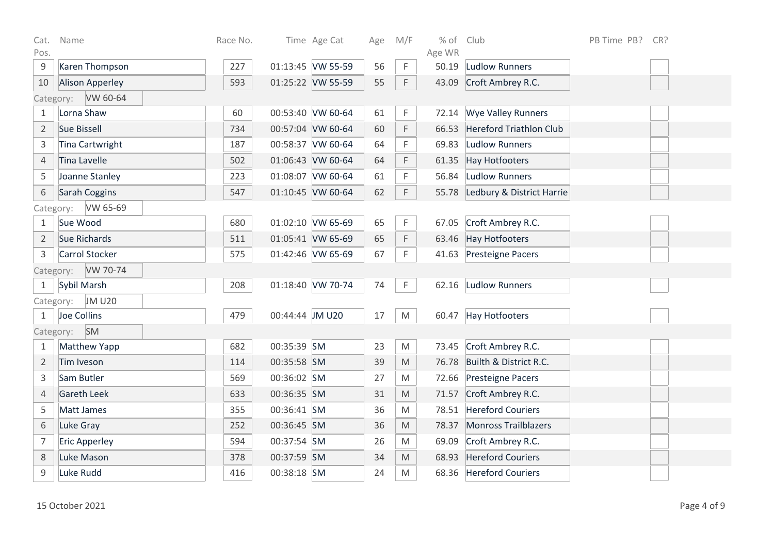| Cat.           | Name                   | Race No. |                 | Time Age Cat      | Age | M/F                                                                                                        | $%$ of | Club                          | PB Time PB? | CR? |  |
|----------------|------------------------|----------|-----------------|-------------------|-----|------------------------------------------------------------------------------------------------------------|--------|-------------------------------|-------------|-----|--|
| Pos.           |                        |          |                 | 01:13:45 VW 55-59 |     |                                                                                                            | Age WR |                               |             |     |  |
| $9\,$          | Karen Thompson         | 227      |                 |                   | 56  | F.                                                                                                         | 50.19  | <b>Ludlow Runners</b>         |             |     |  |
| 10             | <b>Alison Apperley</b> | 593      |                 | 01:25:22 VW 55-59 | 55  | F.                                                                                                         | 43.09  | Croft Ambrey R.C.             |             |     |  |
|                | VW 60-64<br>Category:  |          |                 |                   |     |                                                                                                            |        |                               |             |     |  |
| 1              | Lorna Shaw             | 60       |                 | 00:53:40 VW 60-64 | 61  | F.                                                                                                         |        | 72.14 Wye Valley Runners      |             |     |  |
| $\overline{2}$ | Sue Bissell            | 734      |                 | 00:57:04 VW 60-64 | 60  | F                                                                                                          |        | 66.53 Hereford Triathlon Club |             |     |  |
| 3              | Tina Cartwright        | 187      |                 | 00:58:37 VW 60-64 | 64  | F.                                                                                                         | 69.83  | <b>Ludlow Runners</b>         |             |     |  |
| $\overline{4}$ | <b>Tina Lavelle</b>    | 502      |                 | 01:06:43 VW 60-64 | 64  | F                                                                                                          | 61.35  | <b>Hay Hotfooters</b>         |             |     |  |
| 5              | Joanne Stanley         | 223      |                 | 01:08:07 VW 60-64 | 61  | F                                                                                                          |        | 56.84 Ludlow Runners          |             |     |  |
| 6              | Sarah Coggins          | 547      |                 | 01:10:45 VW 60-64 | 62  | F.                                                                                                         | 55.78  | Ledbury & District Harrie     |             |     |  |
|                | VW 65-69<br>Category:  |          |                 |                   |     |                                                                                                            |        |                               |             |     |  |
| $\mathbf{1}$   | Sue Wood               | 680      |                 | 01:02:10 VW 65-69 | 65  | F.                                                                                                         |        | 67.05 Croft Ambrey R.C.       |             |     |  |
| $\overline{2}$ | Sue Richards           | 511      |                 | 01:05:41 VW 65-69 | 65  | F                                                                                                          |        | 63.46 Hay Hotfooters          |             |     |  |
| 3              | Carrol Stocker         | 575      |                 | 01:42:46 VW 65-69 | 67  | F.                                                                                                         |        | 41.63 Presteigne Pacers       |             |     |  |
| Category:      | VW 70-74               |          |                 |                   |     |                                                                                                            |        |                               |             |     |  |
| 1              | Sybil Marsh            | 208      |                 | 01:18:40 VW 70-74 | 74  | F                                                                                                          |        | 62.16 Ludlow Runners          |             |     |  |
| Category:      | <b>JM U20</b>          |          |                 |                   |     |                                                                                                            |        |                               |             |     |  |
| $\mathbf{1}$   | Joe Collins            | 479      | 00:44:44 JM U20 |                   | 17  | M                                                                                                          |        | 60.47 Hay Hotfooters          |             |     |  |
| Category:      | SM                     |          |                 |                   |     |                                                                                                            |        |                               |             |     |  |
| $\mathbf{1}$   | <b>Matthew Yapp</b>    | 682      | 00:35:39 SM     |                   | 23  | M                                                                                                          |        | 73.45 Croft Ambrey R.C.       |             |     |  |
| $\overline{2}$ | Tim Iveson             | 114      | 00:35:58 SM     |                   | 39  | $\mathsf{M}% _{T}=\mathsf{M}_{T}\!\left( a,b\right) ,\ \mathsf{M}_{T}=\mathsf{M}_{T}\!\left( a,b\right) ,$ |        | 76.78 Builth & District R.C.  |             |     |  |
| 3              | Sam Butler             | 569      | 00:36:02 SM     |                   | 27  | M                                                                                                          |        | 72.66 Presteigne Pacers       |             |     |  |
| 4              | <b>Gareth Leek</b>     | 633      | 00:36:35 SM     |                   | 31  | M                                                                                                          |        | 71.57 Croft Ambrey R.C.       |             |     |  |
| 5              | Matt James             | 355      | 00:36:41 SM     |                   | 36  | $\mathsf{M}% _{T}=\mathsf{M}_{T}\!\left( a,b\right) ,\ \mathsf{M}_{T}=\mathsf{M}_{T}\!\left( a,b\right) ,$ |        | 78.51 Hereford Couriers       |             |     |  |
| 6              | Luke Gray              | 252      | 00:36:45 SM     |                   | 36  | M                                                                                                          | 78.37  | Monross Trailblazers          |             |     |  |
| $\overline{7}$ | <b>Eric Apperley</b>   | 594      | 00:37:54 SM     |                   | 26  | M                                                                                                          | 69.09  | Croft Ambrey R.C.             |             |     |  |
| $\,8\,$        | Luke Mason             | 378      | 00:37:59 SM     |                   | 34  | $\mathsf{M}% _{T}=\mathsf{M}_{T}\!\left( a,b\right) ,\ \mathsf{M}_{T}=\mathsf{M}_{T}\!\left( a,b\right) ,$ |        | 68.93 Hereford Couriers       |             |     |  |
| 9              | Luke Rudd              | 416      | 00:38:18 SM     |                   | 24  | M                                                                                                          |        | 68.36 Hereford Couriers       |             |     |  |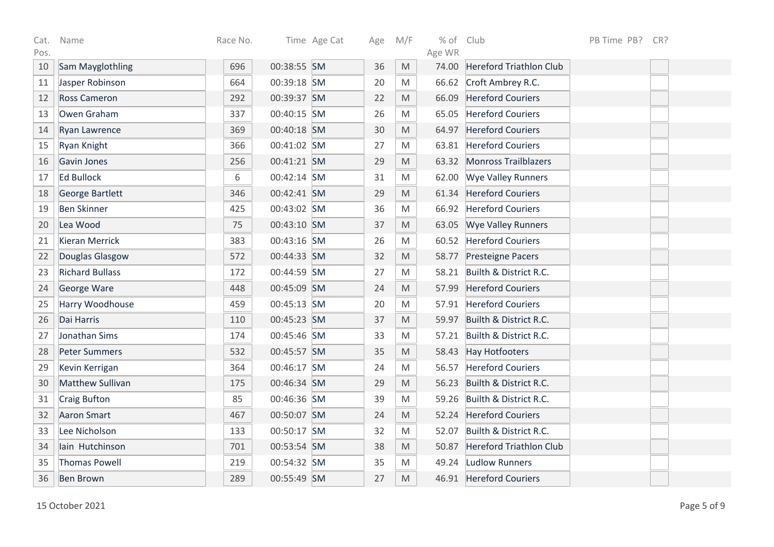| Cat. | Name                    | Race No. |             | Time Age Cat | Age | M/F                                                                                                        | $%$ of | Club                           | PB Time PB? | CR? |
|------|-------------------------|----------|-------------|--------------|-----|------------------------------------------------------------------------------------------------------------|--------|--------------------------------|-------------|-----|
| Pos. |                         |          |             |              |     |                                                                                                            | Age WR |                                |             |     |
| 10   | Sam Mayglothling        | 696      | 00:38:55 SM |              | 36  | M                                                                                                          | 74.00  | <b>Hereford Triathlon Club</b> |             |     |
| 11   | Jasper Robinson         | 664      | 00:39:18 SM |              | 20  | M                                                                                                          |        | 66.62 Croft Ambrey R.C.        |             |     |
| 12   | <b>Ross Cameron</b>     | 292      | 00:39:37 SM |              | 22  | M                                                                                                          | 66.09  | <b>Hereford Couriers</b>       |             |     |
| 13   | Owen Graham             | 337      | 00:40:15 SM |              | 26  | M                                                                                                          | 65.05  | <b>Hereford Couriers</b>       |             |     |
| 14   | <b>Ryan Lawrence</b>    | 369      | 00:40:18 SM |              | 30  | M                                                                                                          | 64.97  | <b>Hereford Couriers</b>       |             |     |
| 15   | Ryan Knight             | 366      | 00:41:02 SM |              | 27  | M                                                                                                          | 63.81  | <b>Hereford Couriers</b>       |             |     |
| 16   | Gavin Jones             | 256      | 00:41:21 SM |              | 29  | M                                                                                                          | 63.32  | Monross Trailblazers           |             |     |
| 17   | <b>Ed Bullock</b>       | 6        | 00:42:14 SM |              | 31  | M                                                                                                          | 62.00  | <b>Wye Valley Runners</b>      |             |     |
| 18   | <b>George Bartlett</b>  | 346      | 00:42:41 SM |              | 29  | $\mathsf{M}% _{T}=\mathsf{M}_{T}\!\left( a,b\right) ,\ \mathsf{M}_{T}=\mathsf{M}_{T}\!\left( a,b\right) ,$ | 61.34  | <b>Hereford Couriers</b>       |             |     |
| 19   | <b>Ben Skinner</b>      | 425      | 00:43:02 SM |              | 36  | $\mathsf{M}% _{T}=\mathsf{M}_{T}\!\left( a,b\right) ,\ \mathsf{M}_{T}=\mathsf{M}_{T}\!\left( a,b\right) ,$ |        | 66.92 Hereford Couriers        |             |     |
| 20   | Lea Wood                | 75       | 00:43:10 SM |              | 37  | M                                                                                                          | 63.05  | <b>Wye Valley Runners</b>      |             |     |
| 21   | <b>Kieran Merrick</b>   | 383      | 00:43:16 SM |              | 26  | M                                                                                                          |        | 60.52 Hereford Couriers        |             |     |
| 22   | Douglas Glasgow         | 572      | 00:44:33 SM |              | 32  | $\mathsf{M}% _{T}=\mathsf{M}_{T}\!\left( a,b\right) ,\ \mathsf{M}_{T}=\mathsf{M}_{T}\!\left( a,b\right) ,$ | 58.77  | Presteigne Pacers              |             |     |
| 23   | <b>Richard Bullass</b>  | 172      | 00:44:59 SM |              | 27  | $\mathsf{M}% _{T}=\mathsf{M}_{T}\!\left( a,b\right) ,\ \mathsf{M}_{T}=\mathsf{M}_{T}\!\left( a,b\right) ,$ | 58.21  | Builth & District R.C.         |             |     |
| 24   | George Ware             | 448      | 00:45:09 SM |              | 24  | $\mathsf{M}% _{T}=\mathsf{M}_{T}\!\left( a,b\right) ,\ \mathsf{M}_{T}=\mathsf{M}_{T}\!\left( a,b\right) ,$ | 57.99  | <b>Hereford Couriers</b>       |             |     |
| 25   | Harry Woodhouse         | 459      | 00:45:13 SM |              | 20  | M                                                                                                          | 57.91  | <b>Hereford Couriers</b>       |             |     |
| 26   | Dai Harris              | 110      | 00:45:23 SM |              | 37  | $\mathsf{M}% _{T}=\mathsf{M}_{T}\!\left( a,b\right) ,\ \mathsf{M}_{T}=\mathsf{M}_{T}\!\left( a,b\right) ,$ | 59.97  | Builth & District R.C.         |             |     |
| 27   | Jonathan Sims           | 174      | 00:45:46 SM |              | 33  | $\mathsf{M}% _{T}=\mathsf{M}_{T}\!\left( a,b\right) ,\ \mathsf{M}_{T}=\mathsf{M}_{T}\!\left( a,b\right) ,$ | 57.21  | Builth & District R.C.         |             |     |
| 28   | <b>Peter Summers</b>    | 532      | 00:45:57 SM |              | 35  | $\mathsf{M}% _{T}=\mathsf{M}_{T}\!\left( a,b\right) ,\ \mathsf{M}_{T}=\mathsf{M}_{T}\!\left( a,b\right) ,$ | 58.43  | <b>Hay Hotfooters</b>          |             |     |
| 29   | Kevin Kerrigan          | 364      | 00:46:17 SM |              | 24  | $\mathsf{M}% _{T}=\mathsf{M}_{T}\!\left( a,b\right) ,\ \mathsf{M}_{T}=\mathsf{M}_{T}\!\left( a,b\right) ,$ | 56.57  | <b>Hereford Couriers</b>       |             |     |
| 30   | <b>Matthew Sullivan</b> | 175      | 00:46:34 SM |              | 29  | $\mathsf{M}% _{T}=\mathsf{M}_{T}\!\left( a,b\right) ,\ \mathsf{M}_{T}=\mathsf{M}_{T}\!\left( a,b\right) ,$ | 56.23  | Builth & District R.C.         |             |     |
| 31   | <b>Craig Bufton</b>     | 85       | 00:46:36 SM |              | 39  | M                                                                                                          | 59.26  | Builth & District R.C.         |             |     |
| 32   | <b>Aaron Smart</b>      | 467      | 00:50:07 SM |              | 24  | $\mathsf{M}% _{T}=\mathsf{M}_{T}\!\left( a,b\right) ,\ \mathsf{M}_{T}=\mathsf{M}_{T}\!\left( a,b\right) ,$ | 52.24  | <b>Hereford Couriers</b>       |             |     |
| 33   | Lee Nicholson           | 133      | 00:50:17 SM |              | 32  | M                                                                                                          | 52.07  | Builth & District R.C.         |             |     |
| 34   | lain Hutchinson         | 701      | 00:53:54 SM |              | 38  | M                                                                                                          | 50.87  | <b>Hereford Triathlon Club</b> |             |     |
| 35   | <b>Thomas Powell</b>    | 219      | 00:54:32 SM |              | 35  | M                                                                                                          | 49.24  | Ludlow Runners                 |             |     |
| 36   | <b>Ben Brown</b>        | 289      | 00:55:49 SM |              | 27  | $\mathsf{M}% _{T}=\mathsf{M}_{T}\!\left( a,b\right) ,\ \mathsf{M}_{T}=\mathsf{M}_{T}\!\left( a,b\right) ,$ |        | 46.91 Hereford Couriers        |             |     |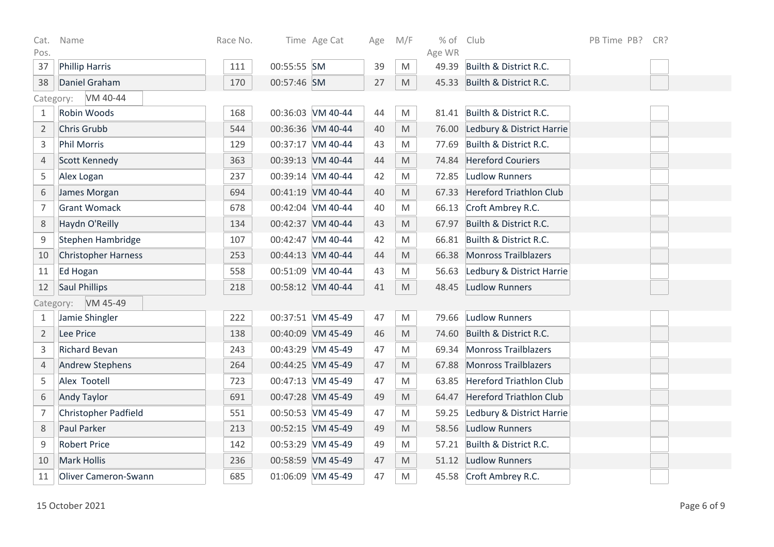| Cat.           | Name                        | Race No. |             | Time Age Cat      | Age | M/F | % of Club       |                                 | PB Time PB? | CR? |
|----------------|-----------------------------|----------|-------------|-------------------|-----|-----|-----------------|---------------------------------|-------------|-----|
| Pos.<br>37     | <b>Phillip Harris</b>       | 111      | 00:55:55 SM |                   | 39  | M   | Age WR<br>49.39 | Builth & District R.C.          |             |     |
| 38             | Daniel Graham               | 170      | 00:57:46 SM |                   | 27  | M   | 45.33           | Builth & District R.C.          |             |     |
|                | VM 40-44<br>Category:       |          |             |                   |     |     |                 |                                 |             |     |
| 1              | Robin Woods                 | 168      |             | 00:36:03 VM 40-44 | 44  | M   |                 | 81.41 Builth & District R.C.    |             |     |
| $\overline{2}$ | Chris Grubb                 | 544      |             | 00:36:36 VM 40-44 | 40  | M   | 76.00           | Ledbury & District Harrie       |             |     |
| $\mathsf 3$    | <b>Phil Morris</b>          | 129      |             | 00:37:17 VM 40-44 | 43  | M   | 77.69           | Builth & District R.C.          |             |     |
| 4              | Scott Kennedy               | 363      |             | 00:39:13 VM 40-44 | 44  | M   |                 | 74.84 Hereford Couriers         |             |     |
| 5              | Alex Logan                  | 237      |             | 00:39:14 VM 40-44 | 42  | M   | 72.85           | Ludlow Runners                  |             |     |
| 6              | James Morgan                | 694      |             | 00:41:19 VM 40-44 | 40  | M   | 67.33           | <b>Hereford Triathlon Club</b>  |             |     |
| $\overline{7}$ | <b>Grant Womack</b>         | 678      |             | 00:42:04 VM 40-44 | 40  | M   |                 | 66.13 Croft Ambrey R.C.         |             |     |
| $\,8\,$        | Haydn O'Reilly              | 134      |             | 00:42:37 VM 40-44 | 43  | M   | 67.97           | Builth & District R.C.          |             |     |
| 9              | Stephen Hambridge           | 107      |             | 00:42:47 VM 40-44 | 42  | M   | 66.81           | Builth & District R.C.          |             |     |
| 10             | <b>Christopher Harness</b>  | 253      |             | 00:44:13 VM 40-44 | 44  | M   |                 | 66.38 Monross Trailblazers      |             |     |
| 11             | Ed Hogan                    | 558      |             | 00:51:09 VM 40-44 | 43  | M   | 56.63           | Ledbury & District Harrie       |             |     |
| 12             | <b>Saul Phillips</b>        | 218      |             | 00:58:12 VM 40-44 | 41  | M   | 48.45           | Ludlow Runners                  |             |     |
|                | VM 45-49<br>Category:       |          |             |                   |     |     |                 |                                 |             |     |
| 1              | Jamie Shingler              | 222      |             | 00:37:51 VM 45-49 | 47  | M   | 79.66           | Ludlow Runners                  |             |     |
| $\overline{2}$ | Lee Price                   | 138      |             | 00:40:09 VM 45-49 | 46  | M   |                 | 74.60 Builth & District R.C.    |             |     |
| $\mathsf 3$    | <b>Richard Bevan</b>        | 243      |             | 00:43:29 VM 45-49 | 47  | M   | 69.34           | <b>Monross Trailblazers</b>     |             |     |
| 4              | <b>Andrew Stephens</b>      | 264      |             | 00:44:25 VM 45-49 | 47  | M   |                 | 67.88 Monross Trailblazers      |             |     |
| 5              | Alex Tootell                | 723      |             | 00:47:13 VM 45-49 | 47  | M   | 63.85           | Hereford Triathlon Club         |             |     |
| 6              | <b>Andy Taylor</b>          | 691      |             | 00:47:28 VM 45-49 | 49  | M   | 64.47           | <b>Hereford Triathlon Club</b>  |             |     |
| $\overline{7}$ | Christopher Padfield        | 551      |             | 00:50:53 VM 45-49 | 47  | M   |                 | 59.25 Ledbury & District Harrie |             |     |
| $\,8\,$        | Paul Parker                 | 213      |             | 00:52:15 VM 45-49 | 49  | M   | 58.56           | Ludlow Runners                  |             |     |
| $\mathsf 9$    | <b>Robert Price</b>         | 142      |             | 00:53:29 VM 45-49 | 49  | M   | 57.21           | Builth & District R.C.          |             |     |
| 10             | <b>Mark Hollis</b>          | 236      |             | 00:58:59 VM 45-49 | 47  | M   |                 | 51.12 Ludlow Runners            |             |     |
| 11             | <b>Oliver Cameron-Swann</b> | 685      |             | 01:06:09 VM 45-49 | 47  | M   |                 | 45.58 Croft Ambrey R.C.         |             |     |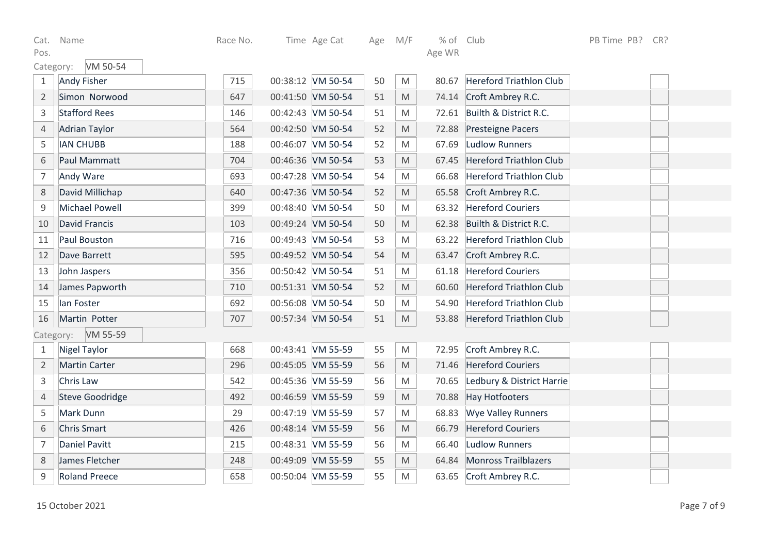| 15 October 2021 | Page 7 of 9 |
|-----------------|-------------|
|-----------------|-------------|

| 1              | <b>Andy Fisher</b>     | 715 | 00:38:12 VM 50-54 | 50 | M                                                                                                          |       | 80.67 Hereford Triathlon Club   |  |  |
|----------------|------------------------|-----|-------------------|----|------------------------------------------------------------------------------------------------------------|-------|---------------------------------|--|--|
| $\overline{2}$ | Simon Norwood          | 647 | 00:41:50 VM 50-54 | 51 | M                                                                                                          |       | 74.14 Croft Ambrey R.C.         |  |  |
| 3              | <b>Stafford Rees</b>   | 146 | 00:42:43 VM 50-54 | 51 | M                                                                                                          |       | 72.61 Builth & District R.C.    |  |  |
| $\overline{4}$ | <b>Adrian Taylor</b>   | 564 | 00:42:50 VM 50-54 | 52 | $\mathsf{M}% _{T}=\mathsf{M}_{T}\!\left( a,b\right) ,\ \mathsf{M}_{T}=\mathsf{M}_{T}\!\left( a,b\right) ,$ |       | 72.88 Presteigne Pacers         |  |  |
| 5              | <b>IAN CHUBB</b>       | 188 | 00:46:07 VM 50-54 | 52 | $\mathsf{M}% _{T}=\mathsf{M}_{T}\!\left( a,b\right) ,\ \mathsf{M}_{T}=\mathsf{M}_{T}\!\left( a,b\right) ,$ | 67.69 | Ludlow Runners                  |  |  |
| 6              | Paul Mammatt           | 704 | 00:46:36 VM 50-54 | 53 | $\mathsf{M}% _{T}=\mathsf{M}_{T}\!\left( a,b\right) ,\ \mathsf{M}_{T}=\mathsf{M}_{T}\!\left( a,b\right) ,$ |       | 67.45 Hereford Triathlon Club   |  |  |
| $\overline{7}$ | Andy Ware              | 693 | 00:47:28 VM 50-54 | 54 | $\mathsf{M}% _{T}=\mathsf{M}_{T}\!\left( a,b\right) ,\ \mathsf{M}_{T}=\mathsf{M}_{T}\!\left( a,b\right) ,$ |       | 66.68 Hereford Triathlon Club   |  |  |
| 8              | David Millichap        | 640 | 00:47:36 VM 50-54 | 52 | $\mathsf{M}% _{T}=\mathsf{M}_{T}\!\left( a,b\right) ,\ \mathsf{M}_{T}=\mathsf{M}_{T}\!\left( a,b\right) ,$ |       | 65.58 Croft Ambrey R.C.         |  |  |
| 9              | <b>Michael Powell</b>  | 399 | 00:48:40 VM 50-54 | 50 | M                                                                                                          |       | 63.32 Hereford Couriers         |  |  |
| 10             | <b>David Francis</b>   | 103 | 00:49:24 VM 50-54 | 50 | M                                                                                                          |       | 62.38 Builth & District R.C.    |  |  |
| 11             | Paul Bouston           | 716 | 00:49:43 VM 50-54 | 53 | $\mathsf{M}% _{T}=\mathsf{M}_{T}\!\left( a,b\right) ,\ \mathsf{M}_{T}=\mathsf{M}_{T}\!\left( a,b\right) ,$ |       | 63.22 Hereford Triathlon Club   |  |  |
| 12             | Dave Barrett           | 595 | 00:49:52 VM 50-54 | 54 | M                                                                                                          |       | 63.47 Croft Ambrey R.C.         |  |  |
| 13             | John Jaspers           | 356 | 00:50:42 VM 50-54 | 51 | M                                                                                                          |       | 61.18 Hereford Couriers         |  |  |
| 14             | James Papworth         | 710 | 00:51:31 VM 50-54 | 52 | M                                                                                                          |       | 60.60 Hereford Triathlon Club   |  |  |
| 15             | lan Foster             | 692 | 00:56:08 VM 50-54 | 50 | $\mathsf{M}% _{T}=\mathsf{M}_{T}\!\left( a,b\right) ,\ \mathsf{M}_{T}=\mathsf{M}_{T}\!\left( a,b\right) ,$ |       | 54.90 Hereford Triathlon Club   |  |  |
| 16             | Martin Potter          | 707 | 00:57:34 VM 50-54 | 51 | M                                                                                                          |       | 53.88 Hereford Triathlon Club   |  |  |
| Category:      | VM 55-59               |     |                   |    |                                                                                                            |       |                                 |  |  |
| 1              | <b>Nigel Taylor</b>    | 668 | 00:43:41 VM 55-59 | 55 | M                                                                                                          |       | 72.95 Croft Ambrey R.C.         |  |  |
| $\overline{2}$ | <b>Martin Carter</b>   | 296 | 00:45:05 VM 55-59 | 56 | M                                                                                                          |       | 71.46 Hereford Couriers         |  |  |
| 3              | Chris Law              | 542 | 00:45:36 VM 55-59 | 56 | M                                                                                                          |       | 70.65 Ledbury & District Harrie |  |  |
| $\overline{4}$ | <b>Steve Goodridge</b> | 492 | 00:46:59 VM 55-59 | 59 | M                                                                                                          |       | 70.88 Hay Hotfooters            |  |  |
| 5              | Mark Dunn              | 29  | 00:47:19 VM 55-59 | 57 | M                                                                                                          |       | 68.83 Wye Valley Runners        |  |  |
| 6              | <b>Chris Smart</b>     | 426 | 00:48:14 VM 55-59 | 56 | M                                                                                                          | 66.79 | <b>Hereford Couriers</b>        |  |  |
| $\overline{7}$ | <b>Daniel Pavitt</b>   | 215 | 00:48:31 VM 55-59 | 56 | M                                                                                                          | 66.40 | <b>Ludlow Runners</b>           |  |  |
| 8              | James Fletcher         | 248 | 00:49:09 VM 55-59 | 55 | $\mathsf{M}% _{T}=\mathsf{M}_{T}\!\left( a,b\right) ,\ \mathsf{M}_{T}=\mathsf{M}_{T}\!\left( a,b\right) ,$ |       | 64.84 Monross Trailblazers      |  |  |
| 9              | <b>Roland Preece</b>   | 658 | 00:50:04 VM 55-59 | 55 | M                                                                                                          |       | 63.65 Croft Ambrey R.C.         |  |  |

Cat. Name

Pos.

Age WR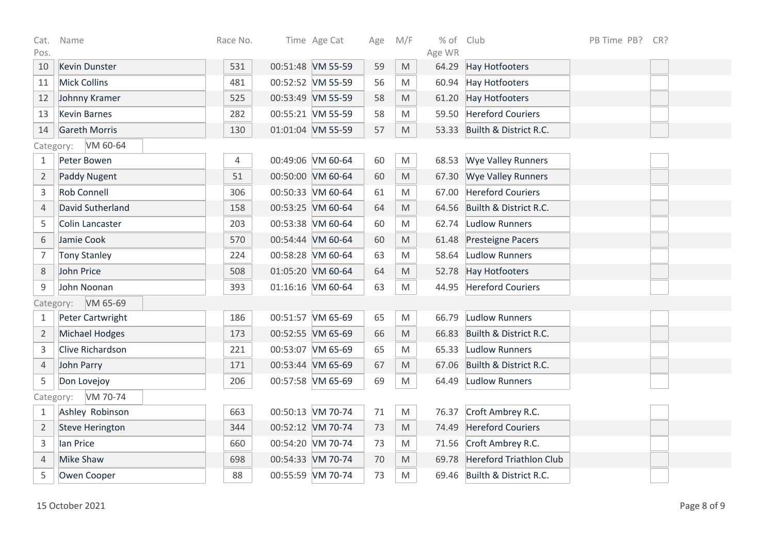| Cat.           | Name                   | Race No. | Time Age Cat      | Age | M/F                                                                                                        | % of Club |                                | PB Time PB? | CR? |
|----------------|------------------------|----------|-------------------|-----|------------------------------------------------------------------------------------------------------------|-----------|--------------------------------|-------------|-----|
| Pos.           |                        |          |                   |     |                                                                                                            | Age WR    |                                |             |     |
| 10             | <b>Kevin Dunster</b>   | 531      | 00:51:48 VM 55-59 | 59  | $\mathsf{M}% _{T}=\mathsf{M}_{T}\!\left( a,b\right) ,\ \mathsf{M}_{T}=\mathsf{M}_{T}\!\left( a,b\right) ,$ | 64.29     | Hay Hotfooters                 |             |     |
| 11             | <b>Mick Collins</b>    | 481      | 00:52:52 VM 55-59 | 56  | M                                                                                                          | 60.94     | <b>Hay Hotfooters</b>          |             |     |
| 12             | Johnny Kramer          | 525      | 00:53:49 VM 55-59 | 58  | $\mathsf{M}% _{T}=\mathsf{M}_{T}\!\left( a,b\right) ,\ \mathsf{M}_{T}=\mathsf{M}_{T}\!\left( a,b\right) ,$ | 61.20     | Hay Hotfooters                 |             |     |
| 13             | <b>Kevin Barnes</b>    | 282      | 00:55:21 VM 55-59 | 58  | M                                                                                                          | 59.50     | <b>Hereford Couriers</b>       |             |     |
| 14             | <b>Gareth Morris</b>   | 130      | 01:01:04 VM 55-59 | 57  | M                                                                                                          | 53.33     | Builth & District R.C.         |             |     |
| Category:      | VM 60-64               |          |                   |     |                                                                                                            |           |                                |             |     |
| $\mathbf{1}$   | Peter Bowen            | 4        | 00:49:06 VM 60-64 | 60  | M                                                                                                          | 68.53     | <b>Wye Valley Runners</b>      |             |     |
| $\overline{2}$ | <b>Paddy Nugent</b>    | 51       | 00:50:00 VM 60-64 | 60  | M                                                                                                          | 67.30     | <b>Wye Valley Runners</b>      |             |     |
| 3              | <b>Rob Connell</b>     | 306      | 00:50:33 VM 60-64 | 61  | M                                                                                                          | 67.00     | <b>Hereford Couriers</b>       |             |     |
| 4              | David Sutherland       | 158      | 00:53:25 VM 60-64 | 64  | M                                                                                                          | 64.56     | Builth & District R.C.         |             |     |
| 5              | <b>Colin Lancaster</b> | 203      | 00:53:38 VM 60-64 | 60  | ${\sf M}$                                                                                                  | 62.74     | <b>Ludlow Runners</b>          |             |     |
| 6              | Jamie Cook             | 570      | 00:54:44 VM 60-64 | 60  | M                                                                                                          | 61.48     | Presteigne Pacers              |             |     |
| 7              | <b>Tony Stanley</b>    | 224      | 00:58:28 VM 60-64 | 63  | M                                                                                                          | 58.64     | Ludlow Runners                 |             |     |
| 8              | John Price             | 508      | 01:05:20 VM 60-64 | 64  | $\mathsf{M}% _{T}=\mathsf{M}_{T}\!\left( a,b\right) ,\ \mathsf{M}_{T}=\mathsf{M}_{T}\!\left( a,b\right) ,$ | 52.78     | Hay Hotfooters                 |             |     |
| 9              | John Noonan            | 393      | 01:16:16 VM 60-64 | 63  | $\mathsf{M}% _{T}=\mathsf{M}_{T}\!\left( a,b\right) ,\ \mathsf{M}_{T}=\mathsf{M}_{T}\!\left( a,b\right) ,$ | 44.95     | <b>Hereford Couriers</b>       |             |     |
| Category:      | VM 65-69               |          |                   |     |                                                                                                            |           |                                |             |     |
| 1              | Peter Cartwright       | 186      | 00:51:57 VM 65-69 | 65  | ${\sf M}$                                                                                                  | 66.79     | <b>Ludlow Runners</b>          |             |     |
| $\overline{2}$ | <b>Michael Hodges</b>  | 173      | 00:52:55 VM 65-69 | 66  | M                                                                                                          | 66.83     | Builth & District R.C.         |             |     |
| 3              | Clive Richardson       | 221      | 00:53:07 VM 65-69 | 65  | M                                                                                                          | 65.33     | Ludlow Runners                 |             |     |
| $\overline{4}$ | John Parry             | 171      | 00:53:44 VM 65-69 | 67  | M                                                                                                          | 67.06     | Builth & District R.C.         |             |     |
| 5              | Don Lovejoy            | 206      | 00:57:58 VM 65-69 | 69  | M                                                                                                          | 64.49     | <b>Ludlow Runners</b>          |             |     |
| Category:      | VM 70-74               |          |                   |     |                                                                                                            |           |                                |             |     |
| $\mathbf{1}$   | Ashley Robinson        | 663      | 00:50:13 VM 70-74 | 71  | M                                                                                                          | 76.37     | Croft Ambrey R.C.              |             |     |
| $\overline{2}$ | <b>Steve Herington</b> | 344      | 00:52:12 VM 70-74 | 73  | M                                                                                                          | 74.49     | <b>Hereford Couriers</b>       |             |     |
| $\mathsf{3}$   | lan Price              | 660      | 00:54:20 VM 70-74 | 73  | ${\sf M}$                                                                                                  | 71.56     | Croft Ambrey R.C.              |             |     |
| 4              | <b>Mike Shaw</b>       | 698      | 00:54:33 VM 70-74 | 70  | $\mathsf{M}% _{T}=\mathsf{M}_{T}\!\left( a,b\right) ,\ \mathsf{M}_{T}=\mathsf{M}_{T}\!\left( a,b\right) ,$ | 69.78     | <b>Hereford Triathlon Club</b> |             |     |
| 5              | Owen Cooper            | 88       | 00:55:59 VM 70-74 | 73  | M                                                                                                          | 69.46     | Builth & District R.C.         |             |     |